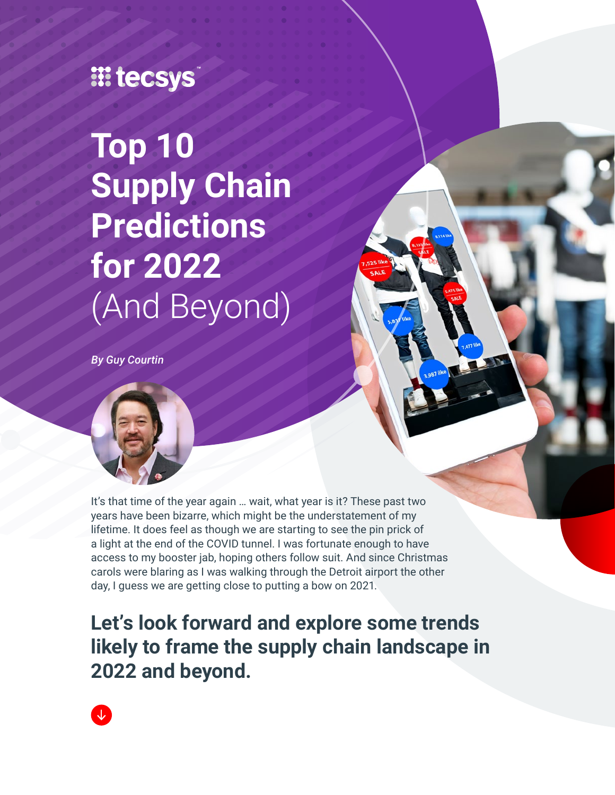## **III tecsys**

**Top 10 Supply Chain Predictions for 2022** (And Beyond)

*By Guy Courtin*



It's that time of the year again … wait, what year is it? These past two years have been bizarre, which might be the understatement of my lifetime. It does feel as though we are starting to see the pin prick of a light at the end of the COVID tunnel. I was fortunate enough to have access to my booster jab, hoping others follow suit. And since Christmas carols were blaring as I was walking through the Detroit airport the other day, I guess we are getting close to putting a bow on 2021.

**Let's look forward and explore some trends likely to frame the supply chain landscape in 2022 and beyond.**

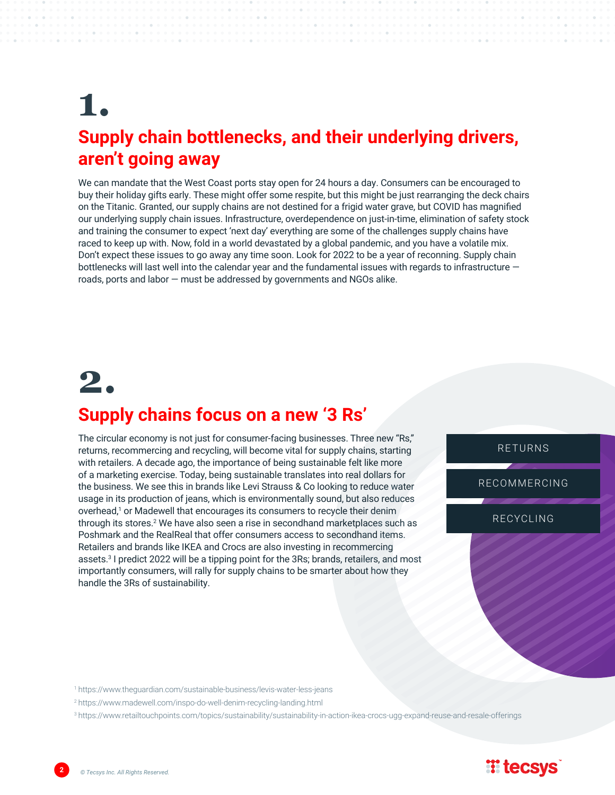### **1. Supply chain bottlenecks, and their underlying drivers, aren't going away**

We can mandate that the West Coast ports stay open for 24 hours a day. Consumers can be encouraged to buy their holiday gifts early. These might offer some respite, but this might be just rearranging the deck chairs on the Titanic. Granted, our supply chains are not destined for a frigid water grave, but COVID has magnified our underlying supply chain issues. Infrastructure, overdependence on just-in-time, elimination of safety stock and training the consumer to expect 'next day' everything are some of the challenges supply chains have raced to keep up with. Now, fold in a world devastated by a global pandemic, and you have a volatile mix. Don't expect these issues to go away any time soon. Look for 2022 to be a year of reconning. Supply chain bottlenecks will last well into the calendar year and the fundamental issues with regards to infrastructure – roads, ports and labor — must be addressed by governments and NGOs alike.

# **2.**

# **Supply chains focus on a new '3 Rs'**

The circular economy is not just for consumer-facing businesses. Three new "Rs," returns, recommercing and recycling, will become vital for supply chains, starting with retailers. A decade ago, the importance of being sustainable felt like more of a marketing exercise. Today, being sustainable translates into real dollars for the business. We see this in brands like Levi Strauss & Co looking to reduce water usage in its production of jeans, which is environmentally sound, but also reduces overhead,<sup>1</sup> or Madewell that encourages its consumers to recycle their denim through its stores.<sup>2</sup> We have also seen a rise in secondhand marketplaces such as Poshmark and the RealReal that offer consumers access to secondhand items. Retailers and brands like IKEA and Crocs are also investing in recommercing assets.3 I predict 2022 will be a tipping point for the 3Rs; brands, retailers, and most importantly consumers, will rally for supply chains to be smarter about how they handle the 3Rs of sustainability.

RETURNS

RECOMMERCING

RECYCLING

https://www.theguardian.com/sustainable-business/levis-water-less-jeans <sup>1</sup>

https://www.madewell.com/inspo-do-well-denim-recycling-landing.html <sup>2</sup>

<sup>3</sup>https://www.retailtouchpoints.com/topics/sustainability/sustainability-in-action-ikea-crocs-ugg-expand-reuse-and-resale-offerings



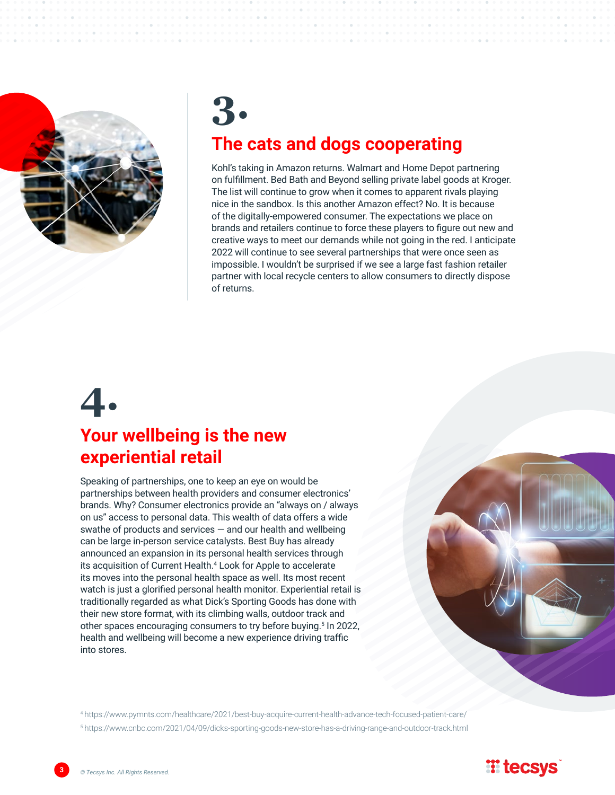

# **3. The cats and dogs cooperating**

Kohl's taking in Amazon returns. Walmart and Home Depot partnering on fulfillment. Bed Bath and Beyond selling private label goods at Kroger. The list will continue to grow when it comes to apparent rivals playing nice in the sandbox. Is this another Amazon effect? No. It is because of the digitally-empowered consumer. The expectations we place on brands and retailers continue to force these players to figure out new and creative ways to meet our demands while not going in the red. I anticipate 2022 will continue to see several partnerships that were once seen as impossible. I wouldn't be surprised if we see a large fast fashion retailer partner with local recycle centers to allow consumers to directly dispose of returns.

# **4. Your wellbeing is the new experiential retail**

Speaking of partnerships, one to keep an eye on would be partnerships between health providers and consumer electronics' brands. Why? Consumer electronics provide an "always on / always on us" access to personal data. This wealth of data offers a wide swathe of products and services — and our health and wellbeing can be large in-person service catalysts. Best Buy has already announced an expansion in its personal health services through its acquisition of Current Health.4 Look for Apple to accelerate its moves into the personal health space as well. Its most recent watch is just a glorified personal health monitor. Experiential retail is traditionally regarded as what Dick's Sporting Goods has done with their new store format, with its climbing walls, outdoor track and other spaces encouraging consumers to try before buying.<sup>5</sup> In 2022, health and wellbeing will become a new experience driving traffic into stores.

https://www.pymnts.com/healthcare/2021/best-buy-acquire-current-health-advance-tech-focused-patient-care/ <sup>4</sup> https://www.cnbc.com/2021/04/09/dicks-sporting-goods-new-store-has-a-driving-range-and-outdoor-track.html <sup>5</sup>

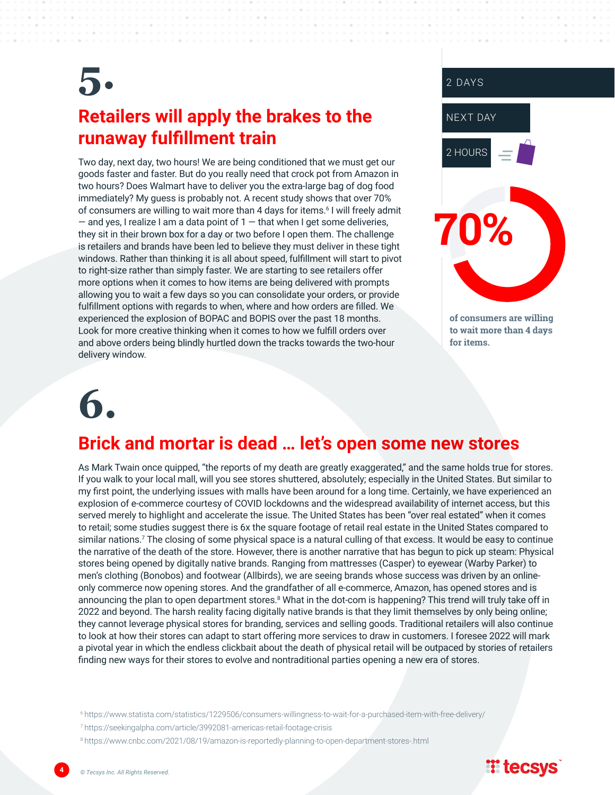## **5. Retailers will apply the brakes to the runaway fulfillment train**

Two day, next day, two hours! We are being conditioned that we must get our goods faster and faster. But do you really need that crock pot from Amazon in two hours? Does Walmart have to deliver you the extra-large bag of dog food immediately? My guess is probably not. A recent study shows that over 70% of consumers are willing to wait more than 4 days for items.<sup>6</sup> I will freely admit  $-$  and yes, I realize I am a data point of  $1 -$  that when I get some deliveries, they sit in their brown box for a day or two before I open them. The challenge is retailers and brands have been led to believe they must deliver in these tight windows. Rather than thinking it is all about speed, fulfillment will start to pivot to right-size rather than simply faster. We are starting to see retailers offer more options when it comes to how items are being delivered with prompts allowing you to wait a few days so you can consolidate your orders, or provide fulfillment options with regards to when, where and how orders are filled. We experienced the explosion of BOPAC and BOPIS over the past 18 months. Look for more creative thinking when it comes to how we fulfill orders over and above orders being blindly hurtled down the tracks towards the two-hour delivery window.



# **6.**

#### **Brick and mortar is dead … let's open some new stores**

As Mark Twain once quipped, "the reports of my death are greatly exaggerated," and the same holds true for stores. If you walk to your local mall, will you see stores shuttered, absolutely; especially in the United States. But similar to my first point, the underlying issues with malls have been around for a long time. Certainly, we have experienced an explosion of e-commerce courtesy of COVID lockdowns and the widespread availability of internet access, but this served merely to highlight and accelerate the issue. The United States has been "over real estated" when it comes to retail; some studies suggest there is 6x the square footage of retail real estate in the United States compared to similar nations.<sup>7</sup> The closing of some physical space is a natural culling of that excess. It would be easy to continue the narrative of the death of the store. However, there is another narrative that has begun to pick up steam: Physical stores being opened by digitally native brands. Ranging from mattresses (Casper) to eyewear (Warby Parker) to men's clothing (Bonobos) and footwear (Allbirds), we are seeing brands whose success was driven by an onlineonly commerce now opening stores. And the grandfather of all e-commerce, Amazon, has opened stores and is announcing the plan to open department stores.<sup>8</sup> What in the dot-com is happening? This trend will truly take off in 2022 and beyond. The harsh reality facing digitally native brands is that they limit themselves by only being online; they cannot leverage physical stores for branding, services and selling goods. Traditional retailers will also continue to look at how their stores can adapt to start offering more services to draw in customers. I foresee 2022 will mark a pivotal year in which the endless clickbait about the death of physical retail will be outpaced by stories of retailers finding new ways for their stores to evolve and nontraditional parties opening a new era of stores.

https://www.statista.com/statistics/1229506/consumers-willingness-to-wait-for-a-purchased-item-with-free-delivery/ <sup>6</sup>

https://seekingalpha.com/article/3992081-americas-retail-footage-crisis <sup>7</sup>

<sup>8</sup> https://www.cnbc.com/2021/08/19/amazon-is-reportedly-planning-to-open-department-stores-.html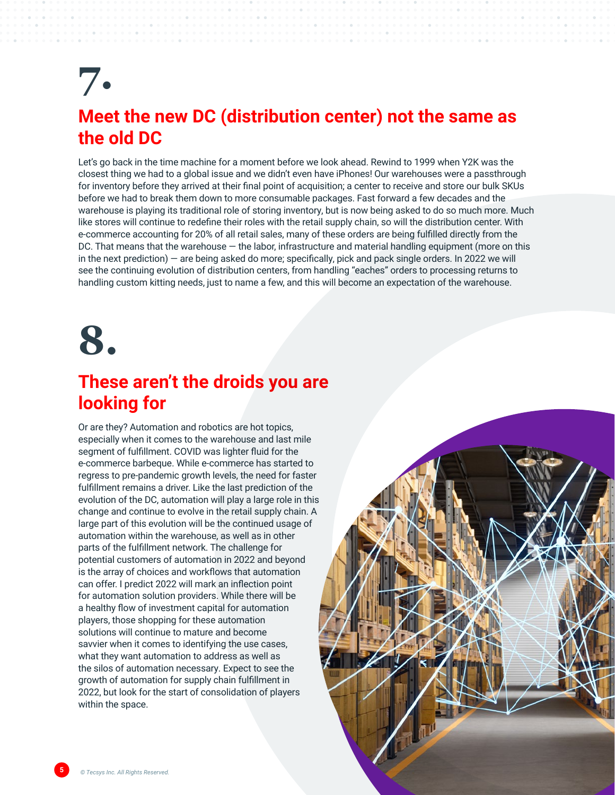# **7.**

#### **Meet the new DC (distribution center) not the same as the old DC**

Let's go back in the time machine for a moment before we look ahead. Rewind to 1999 when Y2K was the closest thing we had to a global issue and we didn't even have iPhones! Our warehouses were a passthrough for inventory before they arrived at their final point of acquisition; a center to receive and store our bulk SKUs before we had to break them down to more consumable packages. Fast forward a few decades and the warehouse is playing its traditional role of storing inventory, but is now being asked to do so much more. Much like stores will continue to redefine their roles with the retail supply chain, so will the distribution center. With e-commerce accounting for 20% of all retail sales, many of these orders are being fulfilled directly from the DC. That means that the warehouse — the labor, infrastructure and material handling equipment (more on this in the next prediction) — are being asked do more; specifically, pick and pack single orders. In 2022 we will see the continuing evolution of distribution centers, from handling "eaches" orders to processing returns to handling custom kitting needs, just to name a few, and this will become an expectation of the warehouse.

# **8.**

#### **These aren't the droids you are looking for**

Or are they? Automation and robotics are hot topics, especially when it comes to the warehouse and last mile segment of fulfillment. COVID was lighter fluid for the e-commerce barbeque. While e-commerce has started to regress to pre-pandemic growth levels, the need for faster fulfillment remains a driver. Like the last prediction of the evolution of the DC, automation will play a large role in this change and continue to evolve in the retail supply chain. A large part of this evolution will be the continued usage of automation within the warehouse, as well as in other parts of the fulfillment network. The challenge for potential customers of automation in 2022 and beyond is the array of choices and workflows that automation can offer. I predict 2022 will mark an inflection point for automation solution providers. While there will be a healthy flow of investment capital for automation players, those shopping for these automation solutions will continue to mature and become savvier when it comes to identifying the use cases, what they want automation to address as well as the silos of automation necessary. Expect to see the growth of automation for supply chain fulfillment in 2022, but look for the start of consolidation of players within the space.

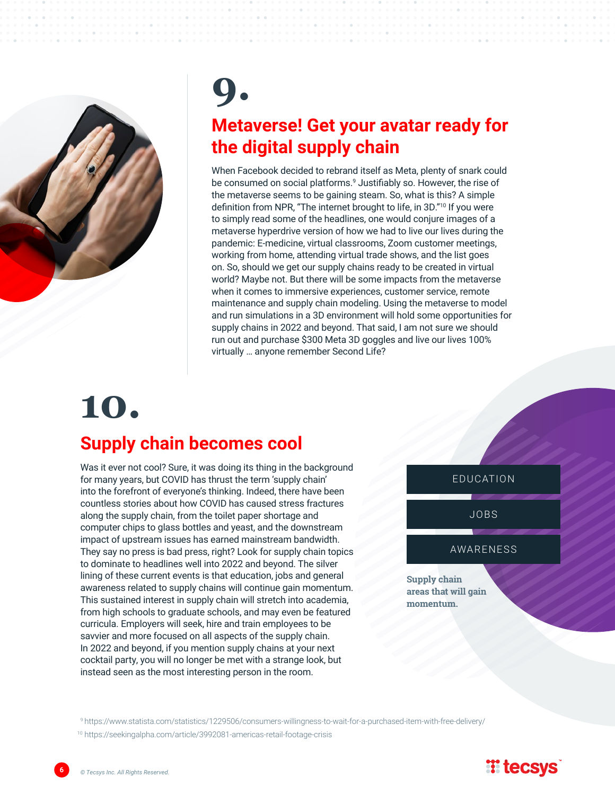

# **9. Metaverse! Get your avatar ready for the digital supply chain**

When Facebook decided to rebrand itself as Meta, plenty of snark could be consumed on social platforms.<sup>9</sup> Justifiably so. However, the rise of the metaverse seems to be gaining steam. So, what is this? A simple definition from NPR, "The internet brought to life, in 3D."10 If you were to simply read some of the headlines, one would conjure images of a metaverse hyperdrive version of how we had to live our lives during the pandemic: E-medicine, virtual classrooms, Zoom customer meetings, working from home, attending virtual trade shows, and the list goes on. So, should we get our supply chains ready to be created in virtual world? Maybe not. But there will be some impacts from the metaverse when it comes to immersive experiences, customer service, remote maintenance and supply chain modeling. Using the metaverse to model and run simulations in a 3D environment will hold some opportunities for supply chains in 2022 and beyond. That said, I am not sure we should run out and purchase \$300 Meta 3D goggles and live our lives 100% virtually … anyone remember Second Life?

# **10. Supply chain becomes cool**

Was it ever not cool? Sure, it was doing its thing in the background for many years, but COVID has thrust the term 'supply chain' into the forefront of everyone's thinking. Indeed, there have been countless stories about how COVID has caused stress fractures along the supply chain, from the toilet paper shortage and computer chips to glass bottles and yeast, and the downstream impact of upstream issues has earned mainstream bandwidth. They say no press is bad press, right? Look for supply chain topics to dominate to headlines well into 2022 and beyond. The silver lining of these current events is that education, jobs and general awareness related to supply chains will continue gain momentum. This sustained interest in supply chain will stretch into academia, from high schools to graduate schools, and may even be featured curricula. Employers will seek, hire and train employees to be savvier and more focused on all aspects of the supply chain. In 2022 and beyond, if you mention supply chains at your next cocktail party, you will no longer be met with a strange look, but instead seen as the most interesting person in the room.



<sup>9</sup> https://www.statista.com/statistics/1229506/consumers-willingness-to-wait-for-a-purchased-item-with-free-delivery/

10 https://seekingalpha.com/article/3992081-americas-retail-footage-crisis